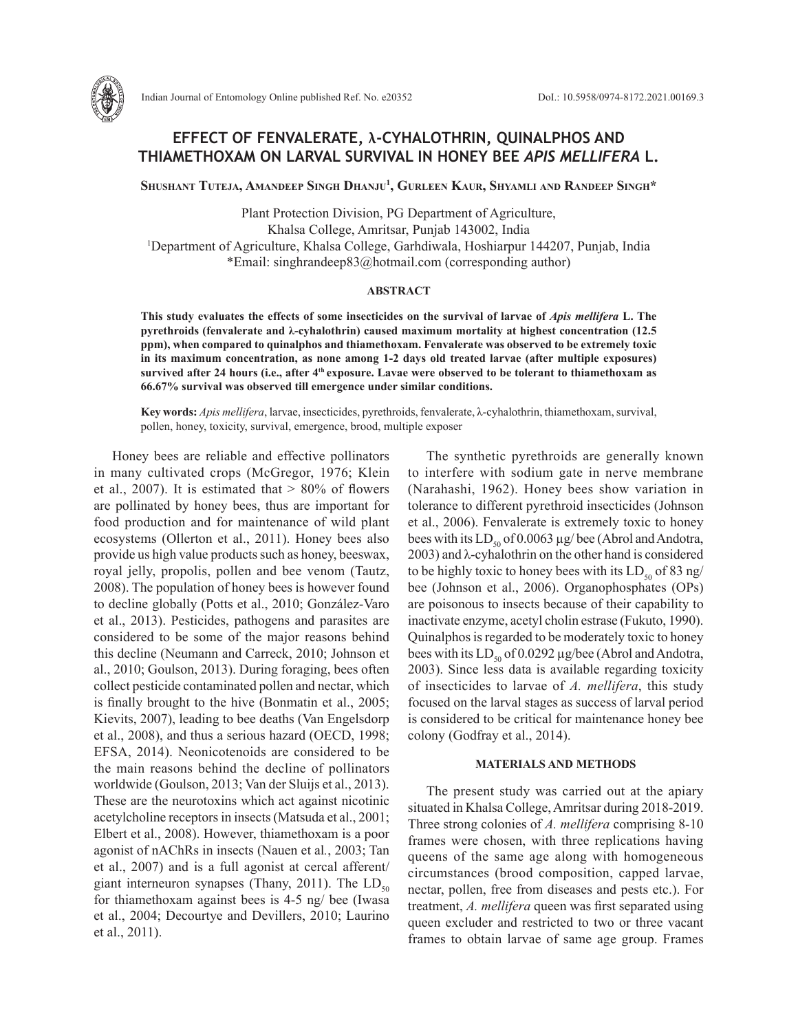

# **EFFECT OF FENVALERATE, λ-CYHALOTHRIN, QUINALPHOS AND THIAMETHOXAM ON LARVAL SURVIVAL IN HONEY BEE** *APIS MELLIFERA* **L.**

**Shushant Tuteja, Amandeep Singh Dhanju1 , Gurleen Kaur, Shyamli and Randeep Singh\***

Plant Protection Division, PG Department of Agriculture, Khalsa College, Amritsar, Punjab 143002, India 1 Department of Agriculture, Khalsa College, Garhdiwala, Hoshiarpur 144207, Punjab, India \*Email: singhrandeep83@hotmail.com (corresponding author)

#### **ABSTRACT**

**This study evaluates the effects of some insecticides on the survival of larvae of** *Apis mellifera* **L. The pyrethroids (fenvalerate and λ-cyhalothrin) caused maximum mortality at highest concentration (12.5 ppm), when compared to quinalphos and thiamethoxam. Fenvalerate was observed to be extremely toxic in its maximum concentration, as none among 1-2 days old treated larvae (after multiple exposures) survived after 24 hours (i.e., after 4th exposure. Lavae were observed to be tolerant to thiamethoxam as 66.67% survival was observed till emergence under similar conditions.**

**Key words:** *Apis mellifera*, larvae, insecticides, pyrethroids, fenvalerate, λ-cyhalothrin, thiamethoxam, survival, pollen, honey, toxicity, survival, emergence, brood, multiple exposer

Honey bees are reliable and effective pollinators in many cultivated crops (McGregor, 1976; Klein et al., 2007). It is estimated that  $> 80\%$  of flowers are pollinated by honey bees, thus are important for food production and for maintenance of wild plant ecosystems (Ollerton et al., 2011). Honey bees also provide us high value products such as honey, beeswax, royal jelly, propolis, pollen and bee venom (Tautz, 2008). The population of honey bees is however found to decline globally (Potts et al., 2010; González-Varo et al., 2013). Pesticides, pathogens and parasites are considered to be some of the major reasons behind this decline (Neumann and Carreck, 2010; Johnson et al., 2010; Goulson, 2013). During foraging, bees often collect pesticide contaminated pollen and nectar, which is finally brought to the hive (Bonmatin et al., 2005; Kievits, 2007), leading to bee deaths (Van Engelsdorp et al., 2008), and thus a serious hazard (OECD, 1998; EFSA, 2014). Neonicotenoids are considered to be the main reasons behind the decline of pollinators worldwide (Goulson, 2013; Van der Sluijs et al., 2013). These are the neurotoxins which act against nicotinic acetylcholine receptors in insects (Matsuda et al., 2001; Elbert et al., 2008). However, thiamethoxam is a poor agonist of nAChRs in insects (Nauen et al*.*, 2003; Tan et al., 2007) and is a full agonist at cercal afferent/ giant interneuron synapses (Thany, 2011). The  $LD_{50}$ for thiamethoxam against bees is 4-5 ng/ bee (Iwasa et al., 2004; Decourtye and Devillers, 2010; Laurino et al., 2011).

The synthetic pyrethroids are generally known to interfere with sodium gate in nerve membrane (Narahashi, 1962). Honey bees show variation in tolerance to different pyrethroid insecticides (Johnson et al., 2006). Fenvalerate is extremely toxic to honey bees with its  $LD_{50}$  of 0.0063  $\mu$ g/ bee (Abrol and Andotra, 2003) and λ-cyhalothrin on the other hand is considered to be highly toxic to honey bees with its  $LD_{50}$  of 83 ng/ bee (Johnson et al., 2006). Organophosphates (OPs) are poisonous to insects because of their capability to inactivate enzyme, acetyl cholin estrase (Fukuto, 1990). Quinalphos is regarded to be moderately toxic to honey bees with its  $LD_{50}$  of 0.0292 µg/bee (Abrol and Andotra, 2003). Since less data is available regarding toxicity of insecticides to larvae of *A. mellifera*, this study focused on the larval stages as success of larval period is considered to be critical for maintenance honey bee colony (Godfray et al., 2014).

## **MATERIALS AND METHODS**

The present study was carried out at the apiary situated in Khalsa College, Amritsar during 2018-2019. Three strong colonies of *A. mellifera* comprising 8-10 frames were chosen, with three replications having queens of the same age along with homogeneous circumstances (brood composition, capped larvae, nectar, pollen, free from diseases and pests etc.). For treatment, *A. mellifera* queen was first separated using queen excluder and restricted to two or three vacant frames to obtain larvae of same age group. Frames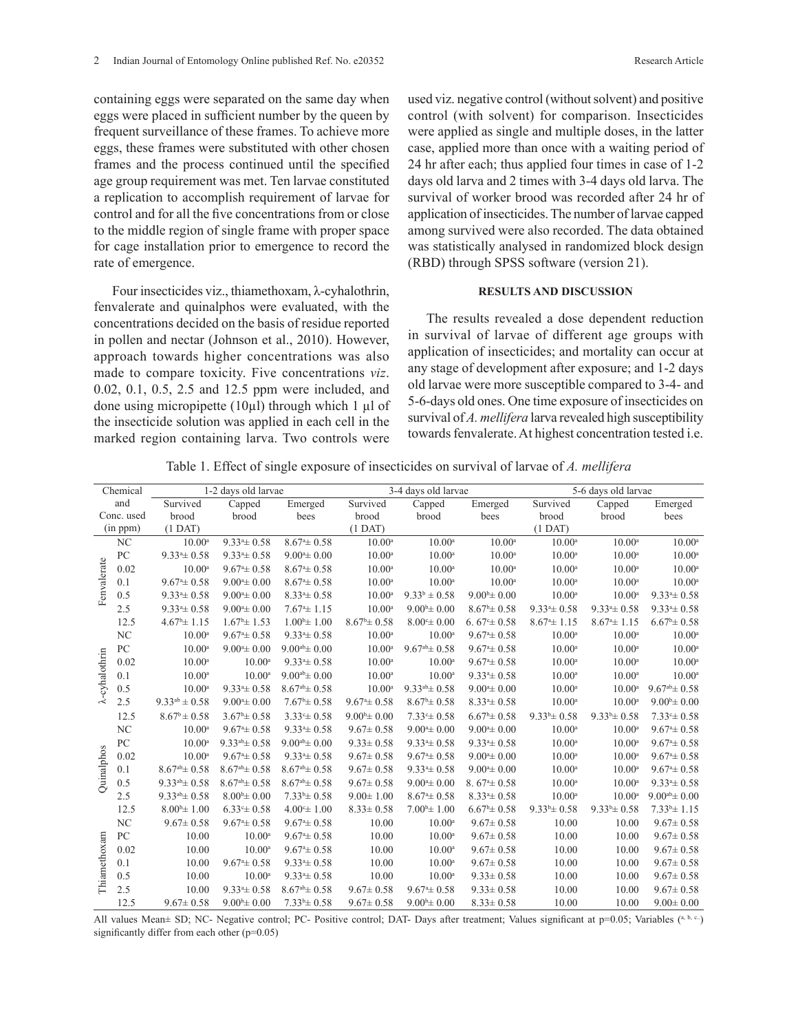containing eggs were separated on the same day when eggs were placed in sufficient number by the queen by frequent surveillance of these frames. To achieve more eggs, these frames were substituted with other chosen frames and the process continued until the specified age group requirement was met. Ten larvae constituted a replication to accomplish requirement of larvae for control and for all the five concentrations from or close to the middle region of single frame with proper space for cage installation prior to emergence to record the rate of emergence.

Four insecticides viz., thiamethoxam, λ-cyhalothrin, fenvalerate and quinalphos were evaluated, with the concentrations decided on the basis of residue reported in pollen and nectar (Johnson et al., 2010). However, approach towards higher concentrations was also made to compare toxicity. Five concentrations *viz*. 0.02, 0.1, 0.5, 2.5 and 12.5 ppm were included, and done using micropipette (10 $\mu$ l) through which 1  $\mu$ l of the insecticide solution was applied in each cell in the marked region containing larva. Two controls were used viz. negative control (without solvent) and positive control (with solvent) for comparison. Insecticides were applied as single and multiple doses, in the latter case, applied more than once with a waiting period of 24 hr after each; thus applied four times in case of 1-2 days old larva and 2 times with 3-4 days old larva. The survival of worker brood was recorded after 24 hr of application of insecticides. The number of larvae capped among survived were also recorded. The data obtained was statistically analysed in randomized block design (RBD) through SPSS software (version 21).

### **RESULTS AND DISCUSSION**

The results revealed a dose dependent reduction in survival of larvae of different age groups with application of insecticides; and mortality can occur at any stage of development after exposure; and 1-2 days old larvae were more susceptible compared to 3-4- and 5-6-days old ones. One time exposure of insecticides on survival of *A. mellifera* larva revealed high susceptibility towards fenvalerate. At highest concentration tested i.e.

Table 1. Effect of single exposure of insecticides on survival of larvae of *A. mellifera*

| Chemical               |                | 1-2 days old larvae     |                            |                              | 3-4 days old larvae     |                         |                             | 5-6 days old larvae |                     |                            |
|------------------------|----------------|-------------------------|----------------------------|------------------------------|-------------------------|-------------------------|-----------------------------|---------------------|---------------------|----------------------------|
| and                    |                | Survived                | Capped                     | Emerged                      | Survived                | Capped                  | Emerged                     | Survived            | Capped              | Emerged                    |
| Conc. used             |                | brood                   | brood                      | bees                         | brood                   | brood                   | bees                        | brood               | brood               | bees                       |
| (in ppm)               |                | $(1$ DAT)               |                            |                              | $(1$ DAT)               |                         |                             | $(1$ DAT)           |                     |                            |
| Fenvalerate            | NC             | $10.00^{\circ}$         | $9.334 \pm 0.58$           | $8.674 \pm 0.58$             | $10.00^{\circ}$         | $10.00^{\rm a}$         | $10.00^{\rm a}$             | $10.00^{\circ}$     | $10.00^{\circ}$     | $10.00^{\circ}$            |
|                        | PC             | $9.334 \pm 0.58$        | $9.334 \pm 0.58$           | $9.00^{\circ} \pm 0.00$      | $10.00^{\circ}$         | $10.00^{\rm a}$         | $10.00^{\circ}$             | $10.00^{\circ}$     | $10.00^{\rm a}$     | $10.00^{\circ}$            |
|                        | 0.02           | $10.00^a$               | $9.67^{\circ} \pm 0.58$    | $8.67^{\mathrm{a}} \pm 0.58$ | $10.00^{\circ}$         | $10.00^{\circ}$         | $10.00^a$                   | $10.00^{\circ}$     | $10.00^{\circ}$     | $10.00^a$                  |
|                        | 0.1            | $9.674 \pm 0.58$        | $9.00^{\circ} \pm 0.00$    | $8.674 \pm 0.58$             | $10.00^{\circ}$         | $10.00^{\rm a}$         | $10.00^{\circ}$             | $10.00^a$           | $10.00^{\rm a}$     | $10.00^a$                  |
|                        | 0.5            | $9.334 \pm 0.58$        | $9.00^{\mathrm{a}}\pm0.00$ | $8.334 \pm 0.58$             | $10.00^{\circ}$         | $9.33^{b} \pm 0.58$     | $9.00^{\circ}$ ± 0.00       | $10.00^{\rm a}$     | $10.00^{\circ}$     | $9.334 \pm 0.58$           |
|                        | 2.5            | $9.334 \pm 0.58$        | $9.00^{\circ} \pm 0.00$    | $7.674 \pm 1.15$             | $10.00^{\circ}$         | $9.00^{\circ} \pm 0.00$ | $8.67^{\circ}$ ± 0.58       | $9.334 \pm 0.58$    | $9.334 \pm 0.58$    | $9.334 \pm 0.58$           |
|                        | 12.5           | $4.67^{\circ}$ ± 1.15   | $1.67^{\circ}$ ± 1.53      | $1.00^{\circ}$ ± 1.00        | $8.67^{\circ}$ ± 0.58   | $8.00^{\circ} \pm 0.00$ | 6.67 $\textdegree \pm 0.58$ | $8.674 \pm 1.15$    | $8.674 \pm 1.15$    | $6.67^{\text{b}} \pm 0.58$ |
| $\lambda$ -cyhalothrin | N <sub>C</sub> | $10.00^{\circ}$         | $9.67^{\circ} \pm 0.58$    | $9.334 \pm 0.58$             | $10.00^{\circ}$         | $10.00^{\circ}$         | $9.67^{\circ} \pm 0.58$     | $10.00^{\circ}$     | $10.00^{\circ}$     | $10.00^{\circ}$            |
|                        | PC             | $10.00^a$               | $9.00^{\circ} \pm 0.00$    | $9.00^{ab} \pm 0.00$         | $10.00^a$               | $9.67^{ab} \pm 0.58$    | $9.674 \pm 0.58$            | $10.00^{\circ}$     | $10.00^{\circ}$     | $10.00^a$                  |
|                        | 0.02           | $10.00^{\circ}$         | $10.00^{\rm a}$            | $9.334 \pm 0.58$             | $10.00^a$               | $10.00^{\rm a}$         | $9.674 \pm 0.58$            | $10.00^{\rm a}$     | $10.00^{\rm a}$     | $10.00^a$                  |
|                        | 0.1            | $10.00^{\rm a}$         | $10.00^{\circ}$            | $9.00^{ab} \pm 0.00$         | $10.00^{\rm a}$         | $10.00^{\circ}$         | $9.334 \pm 0.58$            | $10.00^{\rm a}$     | $10.00^{\text{a}}$  | $10.00^a$                  |
|                        | 0.5            | $10.00^a$               | $9.334 \pm 0.58$           | $8.67^{ab} \pm 0.58$         | $10.00^{\circ}$         | $9.33^{ab} \pm 0.58$    | $9.00^{\mathrm{a}}\pm0.00$  | $10.00^{\circ}$     | $10.00^a$           | $9.67^{ab} \pm 0.58$       |
|                        | 2.5            | $9.33^{ab} \pm 0.58$    | $9.00^{\circ} \pm 0.00$    | $7.67^{\rm b} \pm 0.58$      | $9.67^{\circ} \pm 0.58$ | $8.67^{\circ} \pm 0.58$ | $8.334 \pm 0.58$            | $10.00^{\circ}$     | $10.00^{\circ}$     | $9.00^{\circ} \pm 0.00$    |
| Quinalphos             | 12.5           | $8.67^{\circ} \pm 0.58$ | $3.67^b \pm 0.58$          | $3.33^{\circ} \pm 0.58$      | $9.00^{\circ} \pm 0.00$ | $7.33 \pm 0.58$         | $6.67^{\text{b}} \pm 0.58$  | $9.33^{b} \pm 0.58$ | $9.33^{b} \pm 0.58$ | $7.33 \pm 0.58$            |
|                        | NC             | $10.00^a$               | $9.67^{\circ} \pm 0.58$    | $9.33^{\circ} \pm 0.58$      | $9.67 \pm 0.58$         | $9.00^{\circ} \pm 0.00$ | $9.00^{\circ} \pm 0.00$     | $10.00^a$           | $10.00^a$           | $9.67^{\circ} \pm 0.58$    |
|                        | PC             | $10.00^{\circ}$         | $9.33^{ab} \pm 0.58$       | $9.00^{ab} \pm 0.00$         | $9.33 \pm 0.58$         | $9.334 \pm 0.58$        | $9.334 \pm 0.58$            | $10.00^{\rm a}$     | $10.00^{\circ}$     | $9.674 \pm 0.58$           |
|                        | 0.02           | $10.00^a$               | $9.674 \pm 0.58$           | $9.334 \pm 0.58$             | $9.67 \pm 0.58$         | $9.674 \pm 0.58$        | $9.00^{\circ} \pm 0.00$     | $10.00^{\circ}$     | $10.00^a$           | $9.674 \pm 0.58$           |
|                        | 0.1            | $8.67^{ab} \pm 0.58$    | $8.67^{ab} \pm 0.58$       | $8.67^{ab} \pm 0.58$         | $9.67 \pm 0.58$         | $9.334 \pm 0.58$        | $9.00^{\circ} \pm 0.00$     | $10.00^a$           | $10.00^{\circ}$     | $9.674 \pm 0.58$           |
|                        | 0.5            | $9.33^{ab} \pm 0.58$    | $8.67^{ab} \pm 0.58$       | $8.67^{ab} \pm 0.58$         | $9.67 \pm 0.58$         | $9.00^{\circ} \pm 0.00$ | $8.674 \pm 0.58$            | $10.00^{\rm a}$     | $10.00^a$           | $9.334 \pm 0.58$           |
|                        | 2.5            | $9.33^{ab} \pm 0.58$    | $8.00^{b} \pm 0.00$        | $7.33^{b} \pm 0.58$          | $9.00 \pm 1.00$         | $8.674 \pm 0.58$        | $8.334 \pm 0.58$            | $10.00^{\rm a}$     | $10.00^{\circ}$     | $9.00^{ab} \pm 0.00$       |
|                        | 12.5           | $8.00^{b} \pm 1.00$     | $6.33 \pm 0.58$            | $4.00 \pm 1.00$              | $8.33 \pm 0.58$         | $7.00^{\circ}$ ± 1.00   | $6.67^{\text{b}} \pm 0.58$  | $9.33^{b} \pm 0.58$ | $9.33^{b} \pm 0.58$ | $7.33^{b} \pm 1.15$        |
|                        | NC             | $9.67 \pm 0.58$         | $9.674 \pm 0.58$           | $9.674 \pm 0.58$             | 10.00                   | $10.00^{\rm a}$         | $9.67 \pm 0.58$             | 10.00               | 10.00               | $9.67 \pm 0.58$            |
| Thiamethoxam           | PC             | 10.00                   | $10.00^{\circ}$            | $9.67^{\circ} \pm 0.58$      | 10.00                   | $10.00^{\rm a}$         | $9.67 \pm 0.58$             | 10.00               | 10.00               | $9.67 \pm 0.58$            |
|                        | 0.02           | 10.00                   | $10.00^{\circ}$            | $9.674 \pm 0.58$             | 10.00                   | $10.00^{\circ}$         | $9.67 \pm 0.58$             | 10.00               | 10.00               | $9.67 \pm 0.58$            |
|                        | 0.1            | 10.00                   | $9.674 \pm 0.58$           | $9.334 \pm 0.58$             | 10.00                   | $10.00^{\rm a}$         | $9.67 \pm 0.58$             | 10.00               | 10.00               | $9.67 \pm 0.58$            |
|                        | 0.5            | 10.00                   | $10.00^{\circ}$            | $9.33^{\circ} \pm 0.58$      | 10.00                   | $10.00^{\circ}$         | $9.33 \pm 0.58$             | 10.00               | 10.00               | $9.67 \pm 0.58$            |
|                        | 2.5            | 10.00                   | $9.334 \pm 0.58$           | $8.67^{ab} \pm 0.58$         | $9.67 \pm 0.58$         | $9.674 \pm 0.58$        | $9.33 \pm 0.58$             | 10.00               | 10.00               | $9.67 \pm 0.58$            |
|                        | 12.5           | $9.67 \pm 0.58$         | $9.00^{\circ} \pm 0.00$    | $7.33^b \pm 0.58$            | $9.67 \pm 0.58$         | $9.00^{\circ} \pm 0.00$ | $8.33 \pm 0.58$             | 10.00               | 10.00               | $9.00 \pm 0.00$            |

All values Mean± SD; NC- Negative control; PC- Positive control; DAT- Days after treatment; Values significant at p=0.05; Variables (a, b, c.) significantly differ from each other (p=0.05)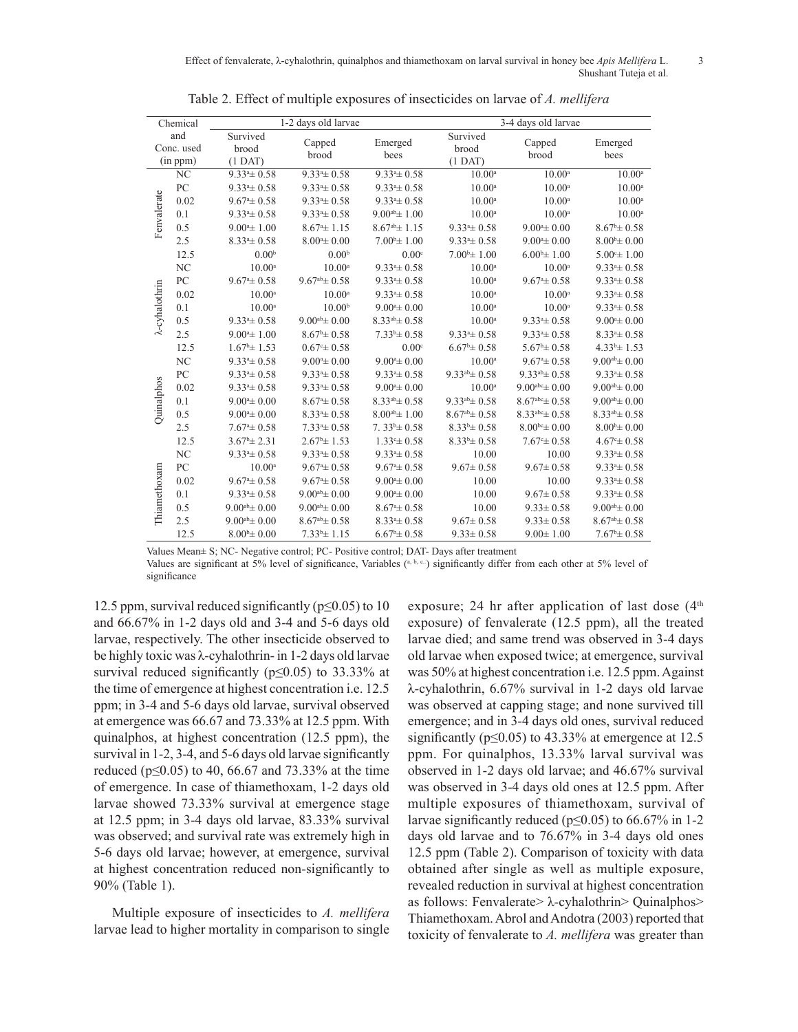| Chemical                      |      |                                | 1-2 days old larvae     |                         | 3-4 days old larvae            |                         |                         |  |
|-------------------------------|------|--------------------------------|-------------------------|-------------------------|--------------------------------|-------------------------|-------------------------|--|
| and<br>Conc. used<br>(in ppm) |      | Survived<br>brood<br>$(1$ DAT) | Capped<br>brood         | Emerged<br>bees         | Survived<br>brood<br>$(1$ DAT) | Capped<br>brood         | Emerged<br>bees         |  |
|                               | NC   | $9.334 \pm 0.58$               | $9.334 \pm 0.58$        | $9.334 \pm 0.58$        | $10.00^{\circ}$                | $10.00^{\rm a}$         | $10.00^{\rm a}$         |  |
| Fenvalerate                   | PC   | $9.334 \pm 0.58$               | $9.334 \pm 0.58$        | $9.334 \pm 0.58$        | $10.00^{\circ}$                | $10.00^{\circ}$         | $10.00^{\circ}$         |  |
|                               | 0.02 | $9.67^{\circ} \pm 0.58$        | $9.334 \pm 0.58$        | $9.334 \pm 0.58$        | $10.00^{\circ}$                | $10.00^{\rm a}$         | $10.00^{\circ}$         |  |
|                               | 0.1  | $9.334 \pm 0.58$               | $9.334 \pm 0.58$        | $9.00^{ab} \pm 1.00$    | $10.00^{\circ}$                | $10.00^{\circ}$         | $10.00^{\circ}$         |  |
|                               | 0.5  | $9.00^{\circ}$ ± 1.00          | $8.67^{\circ}$ ± 1.15   | $8.67^{ab} \pm 1.15$    | $9.334 \pm 0.58$               | $9.00^{\circ} \pm 0.00$ | $8.67^{\circ} \pm 0.58$ |  |
|                               | 2.5  | $8.334 \pm 0.58$               | $8.00^{\circ} \pm 0.00$ | $7.00^{\circ}$ ± 1.00   | $9.334 \pm 0.58$               | $9.00^{\circ} \pm 0.00$ | $8.00^{b} \pm 0.00$     |  |
|                               | 12.5 | 0.00 <sup>b</sup>              | 0.00 <sup>b</sup>       | 0.00 <sup>c</sup>       | $7.00^{\circ}$ ± 1.00          | $6.00^{\circ}$ ± 1.00   | $5.00 \pm 1.00$         |  |
|                               | NC   | $10.00^{\circ}$                | $10.00^{\circ}$         | $9.334 \pm 0.58$        | $10.00^{\circ}$                | $10.00^{\rm a}$         | $9.334 \pm 0.58$        |  |
|                               | PC   | $9.67^{\circ} \pm 0.58$        | $9.67^{ab} \pm 0.58$    | $9.334 \pm 0.58$        | $10.00^{\circ}$                | $9.67^{\circ} \pm 0.58$ | $9.334 \pm 0.58$        |  |
| $\lambda$ -cyhalothrin        | 0.02 | $10.00^{\circ}$                | $10.00^{\circ}$         | $9.334 \pm 0.58$        | $10.00^{\circ}$                | $10.00^{\rm a}$         | $9.334 \pm 0.58$        |  |
|                               | 0.1  | $10.00^{\circ}$                | 10.00 <sup>b</sup>      | $9.004 \pm 0.00$        | $10.00^{\circ}$                | $10.00^{\circ}$         | $9.334 \pm 0.58$        |  |
|                               | 0.5  | $9.334 \pm 0.58$               | $9.00^{ab} \pm 0.00$    | $8.33^{ab} \pm 0.58$    | $10.00^{\circ}$                | $9.334 \pm 0.58$        | $9.00^{\circ} \pm 0.00$ |  |
|                               | 2.5  | $9.00^{\circ}$ ± 1.00          | $8.67^{\circ}$ ± 0.58   | $7.33^b \pm 0.58$       | $9.33 \pm 0.58$                | $9.334 \pm 0.58$        | $8.334 \pm 0.58$        |  |
|                               | 12.5 | $1.67^{\circ}$ ± 1.53          | $0.67 \pm 0.58$         | 0.00 <sup>c</sup>       | $6.67^{\circ}$ ± 0.58          | $5.67^{\circ}$ ± 0.58   | $4.33b \pm 1.53$        |  |
|                               | NC   | $9.334 \pm 0.58$               | $9.00^{\circ} \pm 0.00$ | $9.00^{\circ}$ ± 0.00   | $10.00^{\circ}$                | $9.67^{\circ} \pm 0.58$ | $9.00^{ab} \pm 0.00$    |  |
|                               | PC   | $9.33^{\circ} \pm 0.58$        | $9.33^{\circ} \pm 0.58$ | $9.334 \pm 0.58$        | $9.33^{ab} \pm 0.58$           | $9.33^{ab} \pm 0.58$    | $9.33^{\circ} \pm 0.58$ |  |
|                               | 0.02 | $9.334 \pm 0.58$               | $9.334 \pm 0.58$        | $9.004 \pm 0.00$        | $10.00^{\circ}$                | $9.00^{abc} \pm 0.00$   | $9.00^{ab} \pm 0.00$    |  |
|                               | 0.1  | $9.00^{\mathrm{a}} \pm 0.00$   | $8.67^{\circ} \pm 0.58$ | $8.33^{ab} \pm 0.58$    | $9.33^{ab} \pm 0.58$           | $8.67^{abc} \pm 0.58$   | $9.00^{ab} \pm 0.00$    |  |
| Quinalphos                    | 0.5  | $9.00^{\mathrm{a}}\pm0.00$     | $8.334 \pm 0.58$        | $8.00^{ab} \pm 1.00$    | $8.67^{ab} \pm 0.58$           | $8.33^{abc} \pm 0.58$   | $8.33^{ab} \pm 0.58$    |  |
|                               | 2.5  | $7.67^{\circ} \pm 0.58$        | $7.334 \pm 0.58$        | $7.33\pm 0.58$          | $8.33^{b} \pm 0.58$            | $8.00^{bc} \pm 0.00$    | $8.00^{b} \pm 0.00$     |  |
|                               | 12.5 | $3.67^{\circ}$ ± 2.31          | $2.67^{\circ}$ ± 1.53   | $1.33 \pm 0.58$         | $8.33^{b} \pm 0.58$            | $7.67^{\circ} \pm 0.58$ | $4.67^{\circ} \pm 0.58$ |  |
|                               | NC   | $9.334 \pm 0.58$               | $9.334 \pm 0.58$        | $9.334 \pm 0.58$        | 10.00                          | 10.00                   | $9.334 \pm 0.58$        |  |
| Thiamethoxam                  | PC   | $10.00^a$                      | $9.67^{\circ} \pm 0.58$ | $9.674 \pm 0.58$        | $9.67 \pm 0.58$                | $9.67 \pm 0.58$         | $9.334 \pm 0.58$        |  |
|                               | 0.02 | $9.67^{\circ} \pm 0.58$        | $9.67^{\circ} \pm 0.58$ | $9.004 \pm 0.00$        | 10.00                          | 10.00                   | $9.334 \pm 0.58$        |  |
|                               | 0.1  | $9.334 \pm 0.58$               | $9.00^{ab} \pm 0.00$    | $9.004 \pm 0.00$        | 10.00                          | $9.67 \pm 0.58$         | $9.334 \pm 0.58$        |  |
|                               | 0.5  | $9.00^{ab} \pm 0.00$           | $9.00^{ab} \pm 0.00$    | $8.674 \pm 0.58$        | 10.00                          | $9.33 \pm 0.58$         | $9.00^{ab} \pm 0.00$    |  |
|                               | 2.5  | $9.00^{ab} \pm 0.00$           | $8.67^{ab} \pm 0.58$    | $8.33^{\circ} \pm 0.58$ | $9.67 \pm 0.58$                | $9.33 \pm 0.58$         | $8.67^{ab} \pm 0.58$    |  |
|                               | 12.5 | $8.00^{b} \pm 0.00$            | $7.33^b \pm 1.15$       | $6.67^{\circ}$ ± 0.58   | $9.33 \pm 0.58$                | $9.00 \pm 1.00$         | $7.67^{\rm b} \pm 0.58$ |  |

Table 2. Effect of multiple exposures of insecticides on larvae of *A. mellifera*

Values Mean± S; NC- Negative control; PC- Positive control; DAT- Days after treatment

Values are significant at 5% level of significance, Variables (a, b, c..) significantly differ from each other at 5% level of significance

12.5 ppm, survival reduced significantly ( $p \le 0.05$ ) to 10 and 66.67% in 1-2 days old and 3-4 and 5-6 days old larvae, respectively. The other insecticide observed to be highly toxic was λ-cyhalothrin- in 1-2 days old larvae survival reduced significantly ( $p \le 0.05$ ) to 33.33% at the time of emergence at highest concentration i.e. 12.5 ppm; in 3-4 and 5-6 days old larvae, survival observed at emergence was 66.67 and 73.33% at 12.5 ppm. With quinalphos, at highest concentration (12.5 ppm), the survival in 1-2, 3-4, and 5-6 days old larvae significantly reduced ( $p \le 0.05$ ) to 40, 66.67 and 73.33% at the time of emergence. In case of thiamethoxam, 1-2 days old larvae showed 73.33% survival at emergence stage at 12.5 ppm; in 3-4 days old larvae, 83.33% survival was observed; and survival rate was extremely high in 5-6 days old larvae; however, at emergence, survival at highest concentration reduced non-significantly to 90% (Table 1).

Multiple exposure of insecticides to *A. mellifera* larvae lead to higher mortality in comparison to single exposure; 24 hr after application of last dose  $(4<sup>th</sup>$ exposure) of fenvalerate (12.5 ppm), all the treated larvae died; and same trend was observed in 3-4 days old larvae when exposed twice; at emergence, survival was 50% at highest concentration i.e. 12.5 ppm. Against λ-cyhalothrin, 6.67% survival in 1-2 days old larvae was observed at capping stage; and none survived till emergence; and in 3-4 days old ones, survival reduced significantly ( $p \le 0.05$ ) to 43.33% at emergence at 12.5 ppm. For quinalphos, 13.33% larval survival was observed in 1-2 days old larvae; and 46.67% survival was observed in 3-4 days old ones at 12.5 ppm. After multiple exposures of thiamethoxam, survival of larvae significantly reduced ( $p \le 0.05$ ) to 66.67% in 1-2 days old larvae and to 76.67% in 3-4 days old ones 12.5 ppm (Table 2). Comparison of toxicity with data obtained after single as well as multiple exposure, revealed reduction in survival at highest concentration as follows: Fenvalerate> λ-cyhalothrin> Quinalphos> Thiamethoxam. Abrol and Andotra (2003) reported that toxicity of fenvalerate to *A. mellifera* was greater than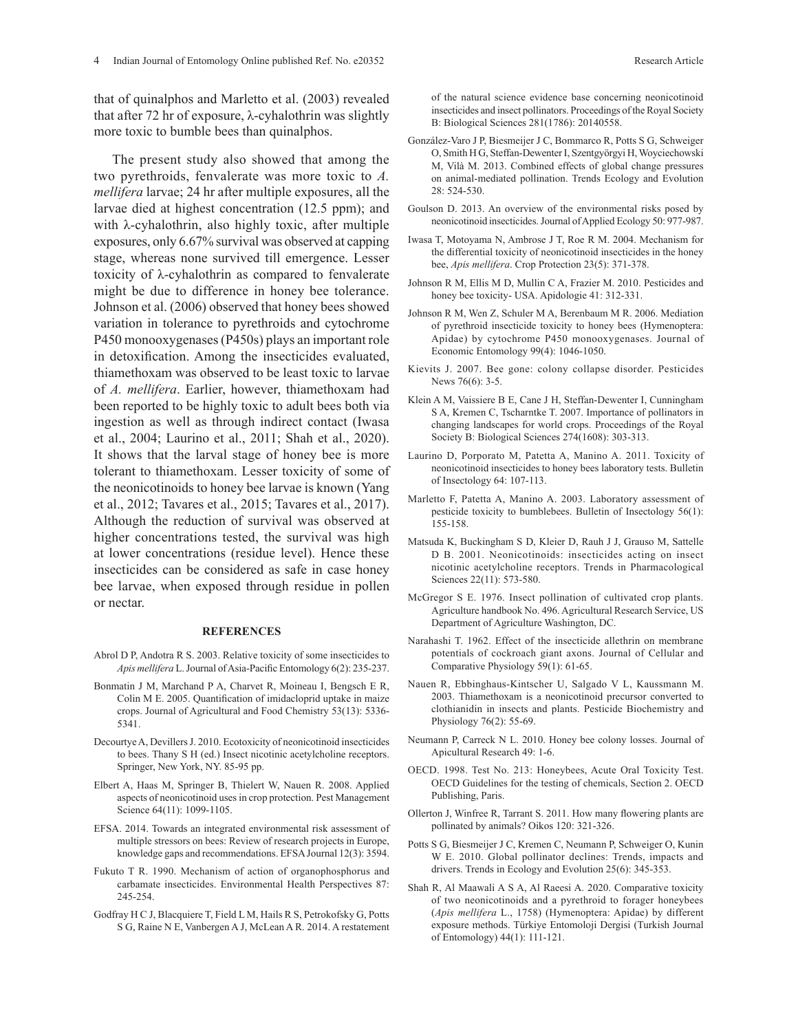that of quinalphos and Marletto et al. (2003) revealed that after 72 hr of exposure, λ-cyhalothrin was slightly more toxic to bumble bees than quinalphos.

The present study also showed that among the two pyrethroids, fenvalerate was more toxic to *A. mellifera* larvae; 24 hr after multiple exposures, all the larvae died at highest concentration (12.5 ppm); and with λ-cyhalothrin, also highly toxic, after multiple exposures, only 6.67% survival was observed at capping stage, whereas none survived till emergence. Lesser toxicity of λ-cyhalothrin as compared to fenvalerate might be due to difference in honey bee tolerance. Johnson et al. (2006) observed that honey bees showed variation in tolerance to pyrethroids and cytochrome P450 monooxygenases (P450s) plays an important role in detoxification. Among the insecticides evaluated, thiamethoxam was observed to be least toxic to larvae of *A. mellifera*. Earlier, however, thiamethoxam had been reported to be highly toxic to adult bees both via ingestion as well as through indirect contact (Iwasa et al., 2004; Laurino et al., 2011; Shah et al., 2020). It shows that the larval stage of honey bee is more tolerant to thiamethoxam. Lesser toxicity of some of the neonicotinoids to honey bee larvae is known (Yang et al., 2012; Tavares et al., 2015; Tavares et al., 2017). Although the reduction of survival was observed at higher concentrations tested, the survival was high at lower concentrations (residue level). Hence these insecticides can be considered as safe in case honey bee larvae, when exposed through residue in pollen or nectar.

#### **REFERENCES**

- Abrol D P, Andotra R S. 2003. Relative toxicity of some insecticides to *Apis mellifera* L.Journal of Asia-Pacific Entomology 6(2): 235-237.
- Bonmatin J M, Marchand P A, Charvet R, Moineau I, Bengsch E R, Colin M E. 2005. Quantification of imidacloprid uptake in maize crops. Journal of Agricultural and Food Chemistry 53(13): 5336- 5341.
- Decourtye A, Devillers J. 2010. Ecotoxicity of neonicotinoid insecticides to bees. Thany S H (ed.) Insect nicotinic acetylcholine receptors. Springer, New York, NY. 85-95 pp.
- Elbert A, Haas M, Springer B, Thielert W, Nauen R. 2008. Applied aspects of neonicotinoid uses in crop protection. Pest Management Science 64(11): 1099-1105.
- EFSA. 2014. Towards an integrated environmental risk assessment of multiple stressors on bees: Review of research projects in Europe, knowledge gaps and recommendations. EFSA Journal 12(3): 3594.
- Fukuto T R. 1990. Mechanism of action of organophosphorus and carbamate insecticides. Environmental Health Perspectives 87: 245-254.
- Godfray H C J, Blacquiere T, Field L M, Hails R S, Petrokofsky G, Potts S G, Raine N E, Vanbergen A J, McLean A R. 2014. A restatement

of the natural science evidence base concerning neonicotinoid insecticides and insect pollinators. Proceedings of the Royal Society B: Biological Sciences 281(1786): 20140558.

- González-Varo J P, Biesmeijer J C, Bommarco R, Potts S G, Schweiger O, Smith H G, Steffan-Dewenter I, Szentgyörgyi H, Woyciechowski M, Vilà M. 2013. Combined effects of global change pressures on animal-mediated pollination. Trends Ecology and Evolution 28: 524-530.
- Goulson D. 2013. An overview of the environmental risks posed by neonicotinoid insecticides. Journal of Applied Ecology 50: 977-987.
- Iwasa T, Motoyama N, Ambrose J T, Roe R M. 2004. Mechanism for the differential toxicity of neonicotinoid insecticides in the honey bee, *Apis mellifera*. Crop Protection 23(5): 371-378.
- Johnson R M, Ellis M D, Mullin C A, Frazier M. 2010. Pesticides and honey bee toxicity- USA. Apidologie 41: 312-331.
- Johnson R M, Wen Z, Schuler M A, Berenbaum M R. 2006. Mediation of pyrethroid insecticide toxicity to honey bees (Hymenoptera: Apidae) by cytochrome P450 monooxygenases. Journal of Economic Entomology 99(4): 1046-1050.
- Kievits J. 2007. Bee gone: colony collapse disorder. Pesticides News 76(6): 3-5.
- Klein A M, Vaissiere B E, Cane J H, Steffan-Dewenter I, Cunningham S A, Kremen C, Tscharntke T. 2007. Importance of pollinators in changing landscapes for world crops. Proceedings of the Royal Society B: Biological Sciences 274(1608): 303-313.
- Laurino D, Porporato M, Patetta A, Manino A. 2011. Toxicity of neonicotinoid insecticides to honey bees laboratory tests. Bulletin of Insectology 64: 107-113.
- Marletto F, Patetta A, Manino A. 2003. Laboratory assessment of pesticide toxicity to bumblebees. Bulletin of Insectology 56(1): 155-158.
- Matsuda K, Buckingham S D, Kleier D, Rauh J J, Grauso M, Sattelle D B. 2001. Neonicotinoids: insecticides acting on insect nicotinic acetylcholine receptors. Trends in Pharmacological Sciences 22(11): 573-580.
- McGregor S E. 1976. Insect pollination of cultivated crop plants. Agriculture handbook No. 496. Agricultural Research Service, US Department of Agriculture Washington, DC.
- Narahashi T. 1962. Effect of the insecticide allethrin on membrane potentials of cockroach giant axons. Journal of Cellular and Comparative Physiology 59(1): 61-65.
- Nauen R, Ebbinghaus-Kintscher U, Salgado V L, Kaussmann M. 2003. Thiamethoxam is a neonicotinoid precursor converted to clothianidin in insects and plants. Pesticide Biochemistry and Physiology 76(2): 55-69.
- Neumann P, Carreck N L. 2010. Honey bee colony losses. Journal of Apicultural Research 49: 1-6.
- OECD. 1998. Test No. 213: Honeybees, Acute Oral Toxicity Test. OECD Guidelines for the testing of chemicals, Section 2. OECD Publishing, Paris.
- Ollerton J, Winfree R, Tarrant S. 2011. How many flowering plants are pollinated by animals? Oikos 120: 321-326.
- Potts S G, Biesmeijer J C, Kremen C, Neumann P, Schweiger O, Kunin W E. 2010. Global pollinator declines: Trends, impacts and drivers. Trends in Ecology and Evolution 25(6): 345-353.
- Shah R, Al Maawali A S A, Al Raeesi A. 2020. Comparative toxicity of two neonicotinoids and a pyrethroid to forager honeybees (*Apis mellifera* L., 1758) (Hymenoptera: Apidae) by different exposure methods. Türkiye Entomoloji Dergisi (Turkish Journal of Entomology) 44(1): 111-121.